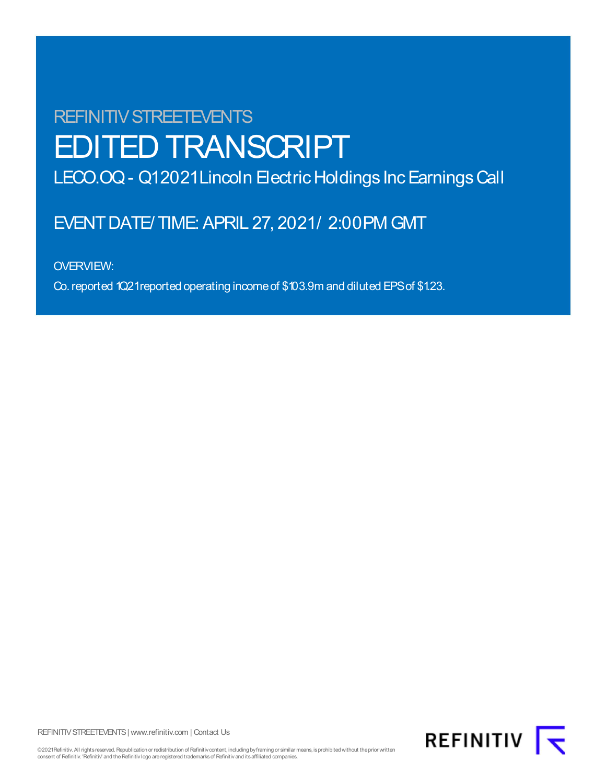# REFINITIV STREETEVENTS EDITED TRANSCRIPT

LECO.OQ - Q12021 Lincoln Electric Holdings Inc Earnings Call

## EVENT DATE/ TIME: APRIL 27, 2021/ 2:00 PM GMT

OVERVIEW:

Co.reported 1Q21reported operating incomeof \$103.9m and diluted EPSof \$1.23.

REFINITIV STREETEVENTS | www.refinitiv.com | Contact Us



©2021Refinitiv. All rights reserved. Republication or redistribution of Refinitiv content, including by framing or similar means, is prohibited without the prior written consent of Refinitiv. 'Refinitiv' and the Refinitiv logo are registered trademarks of Refinitiv and its affiliated companies.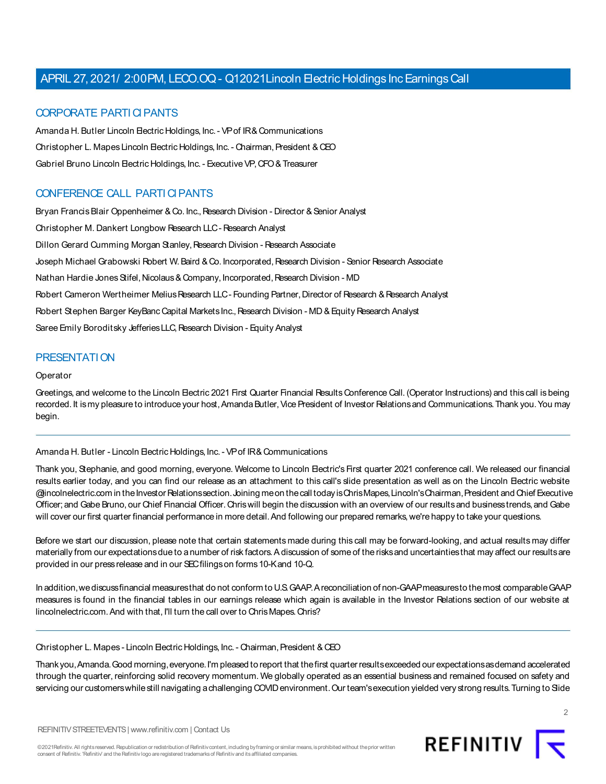#### CORPORATE PARTI CIPANTS

Amanda H. Butler Lincoln Electric Holdings, Inc. - VP of IR& Communications Christopher L. Mapes Lincoln Electric Holdings, Inc. - Chairman, President & CEO Gabriel Bruno Lincoln Electric Holdings, Inc. - Executive VP, CFO & Treasurer

### CONFERENCE CALL PARTI CIPANTS

Bryan Francis Blair Oppenheimer & Co. Inc., Research Division - Director & Senior Analyst Christopher M. Dankert Longbow Research LLC - Research Analyst Dillon Gerard Cumming Morgan Stanley, Research Division - Research Associate Joseph Michael Grabowski Robert W. Baird & Co. Incorporated, Research Division - Senior Research Associate Nathan Hardie Jones Stifel, Nicolaus & Company, Incorporated, Research Division - MD Robert Cameron Wertheimer Melius Research LLC - Founding Partner, Director of Research & Research Analyst Robert Stephen Barger KeyBanc Capital Markets Inc., Research Division - MD & Equity Research Analyst Saree Emily Boroditsky Jefferies LLC, Research Division - Equity Analyst

#### PRESENTATION

#### **Operator**

Greetings, and welcome to the Lincoln Electric 2021 First Quarter Financial Results Conference Call. (Operator Instructions) and this call is being recorded. It is my pleasure to introduce your host, Amanda Butler, Vice President of Investor Relations and Communications. Thank you. You may begin.

#### Amanda H. Butler - Lincoln Electric Holdings, Inc. - VP of IR& Communications

Thank you, Stephanie, and good morning, everyone. Welcome to Lincoln Electric's First quarter 2021 conference call. We released our financial results earlier today, and you can find our release as an attachment to this call's slide presentation as well as on the Lincoln Electric website @incolnelectric.com in the Investor Relations section. Joining me on the call today is Chris Mapes, Lincoln's Chairman, President and Chief Executive Officer; and Gabe Bruno, our Chief Financial Officer. Chris will begin the discussion with an overview of our results and business trends, and Gabe will cover our first quarter financial performance in more detail. And following our prepared remarks, we're happy to take your questions.

Before we start our discussion, please note that certain statements made during this call may be forward-looking, and actual results may differ materially from our expectations due to a number of risk factors. A discussion of some of the risks and uncertainties that may affect our results are provided in our press release and in our SEC filings on forms 10-K and 10-Q.

In addition, we discuss financial measures that do not conform to U.S. GAAP. A reconciliation of non-GAAP measures to the most comparable GAAP measures is found in the financial tables in our earnings release which again is available in the Investor Relations section of our website at lincolnelectric.com. And with that, I'll turn the call over to Chris Mapes. Chris?

Christopher L. Mapes - Lincoln Electric Holdings, Inc. - Chairman, President & CEO

Thank you, Amanda. Good morning, everyone. I'm pleased to report that the first quarter results exceeded our expectations as demand accelerated through the quarter, reinforcing solid recovery momentum. We globally operated as an essential business and remained focused on safety and servicing our customers while still navigating a challenging COVID environment. Our team's execution yielded very strong results. Turning to Slide



 $\mathfrak{D}$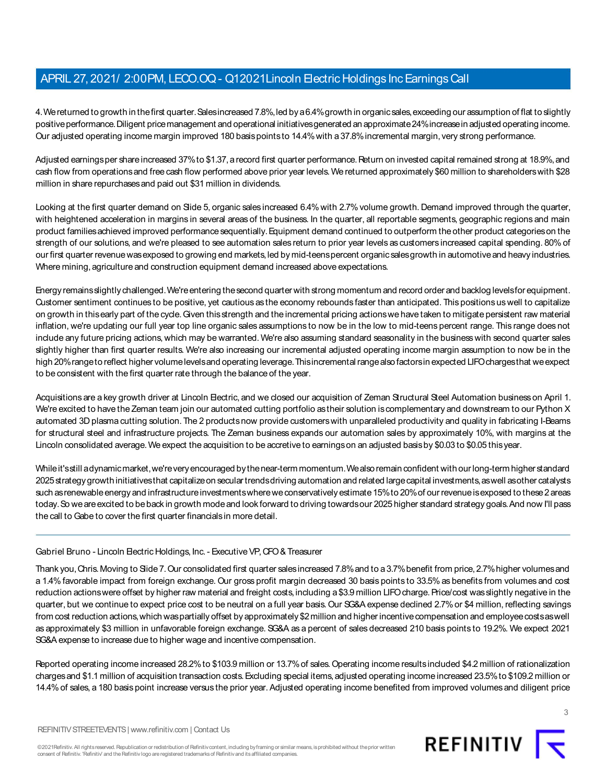4.Wereturned to growth in thefirst quarter.Salesincreased 7.8%,led bya6.4%growth in organicsales,exceeding our assumption of flat to slightly positive performance. Diligent price management and operational initiativesgenerated an approximate 24% increase in adjusted operating income. Our adjusted operating income margin improved 180 basis points to 14.4% with a 37.8% incremental margin, very strong performance.

Adjusted earnings per share increased 37% to \$1.37, a record first quarter performance. Return on invested capital remained strong at 18.9%, and cash flow from operationsand free cash flow performed above prior year levels.We returned approximately \$60 million to shareholderswith \$28 million in share repurchases and paid out \$31 million in dividends.

Looking at the first quarter demand on Slide 5, organic sales increased 6.4% with 2.7% volume growth. Demand improved through the quarter, with heightened acceleration in margins in several areas of the business. In the quarter, all reportable segments, geographic regions and main product familiesachieved improved performancesequentially.Equipment demand continued to outperform theother product categorieson the strength of our solutions, and we're pleased to see automation sales return to prior year levels as customers increased capital spending. 80% of our first quarter revenue was exposed to growing end markets, led by mid-teens percent organic sales growth in automotive and heavy industries. Where mining, agriculture and construction equipment demand increased above expectations.

Energy remainsslightly challenged.We'reentering thesecond quarter with strong momentum and record order and backlog levelsfor equipment. Customer sentiment continues to be positive, yet cautious as the economy rebounds faster than anticipated. This positions uswell to capitalize on growth in thisearly part of the cycle.Given thisstrength and the incremental pricing actionswe have taken to mitigate persistent raw material inflation, we're updating our full year top line organic sales assumptions to now be in the low to mid-teens percent range. This range does not include any future pricing actions, which may be warranted. We're also assuming standard seasonality in the business with second quarter sales slightly higher than first quarter results. We're also increasing our incremental adjusted operating income margin assumption to now be in the high 20%rangeto reflect higher volumelevelsand operating leverage.Thisincremental rangealso factorsin expected LIFOchargesthat weexpect to be consistent with the first quarter rate through the balance of the year.

Acquisitions are a key growth driver at Lincoln Electric, and we closed our acquisition of Zeman Structural Steel Automation business on April 1. We're excited to have the Zeman team join our automated cutting portfolio as their solution is complementary and downstream to our Python X automated 3D plasma cutting solution. The 2 products now provide customers with unparalleled productivity and quality in fabricating I-Beams for structural steel and infrastructure projects. The Zeman business expands our automation sales by approximately 10%, with margins at the Lincoln consolidated average. We expect the acquisition to be accretive to earnings on an adjusted basis by \$0.03 to \$0.05 this year.

Whileit'sstill adynamicmarket,we'reveryencouraged bythenear-term momentum.Wealsoremain confident with ourlong-term higher standard 2025strategygrowth initiativesthat capitalizeon seculartrendsdriving automation and related largecapital investments,aswell asother catalysts such as renewable energy and infrastructure investments where we conservatively estimate 15% to 20% of our revenue is exposed to these 2 areas today. So we are excited to be back in growth mode and look forward to driving towards our 2025 higher standard strategy goals. And now I'll pass the call to Gabe to cover the first quarter financials in more detail.

#### Gabriel Bruno - Lincoln Electric Holdings, Inc. - Executive VP, CFO & Treasurer

Thank you,Chris.Moving to Slide7.Our consolidated first quarter salesincreased 7.8%and to a3.7%benefit from price,2.7%higher volumesand a 1.4% favorable impact from foreign exchange. Our gross profit margin decreased 30 basis points to 33.5% as benefits from volumes and cost reduction actions were offset by higher raw material and freight costs, including a \$3.9 million LIFO charge. Price/cost was slightly negative in the quarter, but we continue to expect price cost to be neutral on a full year basis. Our SG&A expense declined 2.7%or \$4 million, reflecting savings from cost reduction actions,which waspartially offset by approximately \$2million and higher incentivecompensation and employeecostsaswell as approximately \$3 million in unfavorable foreign exchange. SG&A as a percent of sales decreased 210 basis points to 19.2%. We expect 2021 SG&A expense to increase due to higher wage and incentive compensation.

Reported operating income increased 28.2% to \$103.9 million or 13.7% of sales. Operating income results included \$4.2 million of rationalization chargesand \$1.1 million of acquisition transaction costs.Excluding special items,adjusted operating income increased 23.5%to \$109.2 million or 14.4%of sales, a 180 basis point increase versus the prior year. Adjusted operating income benefited from improved volumes and diligent price

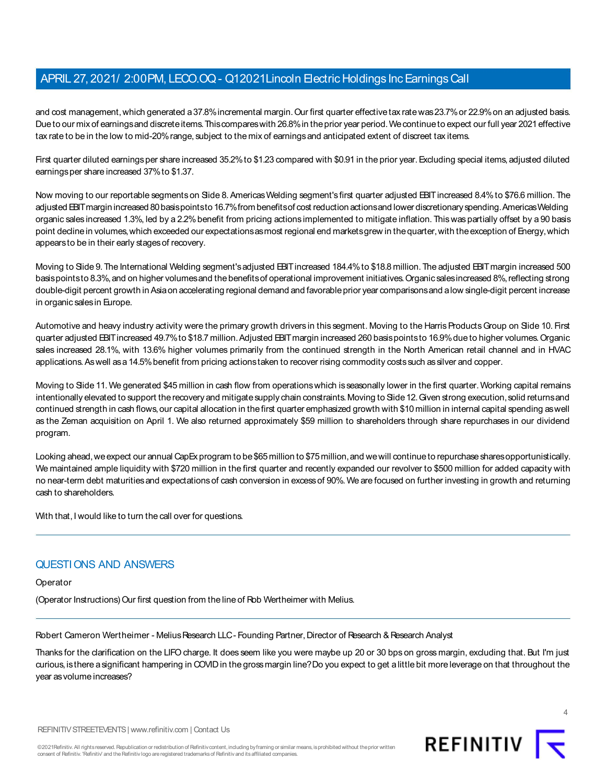and cost management,which generated a37.8%incremental margin.Our first quarter effective tax ratewas23.7%or 22.9%on an adjusted basis. Due to our mix of earnings and discrete items. This compares with 26.8% in the prior year period. We continue to expect our full year 2021 effective tax rate to be in the low to mid-20% range, subject to the mix of earnings and anticipated extent of discreet tax items.

First quarter diluted earnings per share increased 35.2% to \$1.23 compared with \$0.91 in the prior year. Excluding special items, adjusted diluted earnings per share increased 37% to \$1.37.

Now moving to our reportable segments on Side 8. Americas Welding segment's first quarter adjusted BHT increased 8.4% to \$76.6 million. The adjusted EBIT margin increased 80 basis pointsto 16.7% from benefits of cost reduction actions and lower discretionary spending. Americas Welding organic sales increased 1.3%, led by a 2.2%benefit from pricing actions implemented to mitigate inflation. Thiswaspartially offset by a 90 basis point decline in volumes, which exceeded our expectations as most regional end markets grew in the quarter, with the exception of Energy, which appears to be in their early stages of recovery.

Moving to Side 9. The International Welding segment's adjusted EBIT increased 184.4% to \$18.8 million. The adjusted EBIT margin increased 500 basis points to 8.3%, and on higher volumes and the benefits of operational improvement initiatives. Organic sales increased 8%, reflecting strong double-digit percent growth in Asia on accelerating regional demand and favorable prior year comparisons and a low single-digit percent increase in organic sales in Europe.

Automotive and heavy industry activity were the primary growth drivers in this segment. Moving to the Harris Products Group on Slide 10. First quarter adjusted EBIT increased 49.7% to \$18.7 million. Adjusted EBIT margin increased 260 basis points to 16.9% due to higher volumes. Organic sales increased 28.1%, with 13.6% higher volumes primarily from the continued strength in the North American retail channel and in HVAC applications. As well as a 14.5% benefit from pricing actions taken to recover rising commodity costs such as silver and copper.

Moving to Slide 11.We generated \$45 million in cash flow from operationswhich isseasonally lower in the first quarter.Working capital remains intentionally elevated to support the recovery and mitigate supply chain constraints. Moving to Slide 12. Given strong execution, solid returns and continued strength in cash flows, our capital allocation in the first quarter emphasized growth with \$10 million in internal capital spending as well as the Zeman acquisition on April 1. We also returned approximately \$59 million to shareholders through share repurchases in our dividend program.

Looking ahead, we expect our annual CapEx program to be \$65 million to \$75 million, and we will continue to repurchase shares opportunistically. We maintained ample liquidity with \$720 million in the first quarter and recently expanded our revolver to \$500 million for added capacity with no near-term debt maturitiesand expectationsof cash conversion in excessof 90%.We are focused on further investing in growth and returning cash to shareholders.

With that, I would like to turn the call over for questions.

## QUESTIONS AND ANSWERS

**Operator** 

(Operator Instructions) Our first question from the line of Rob Wertheimer with Melius.

Robert Cameron Wertheimer - Melius Research LLC - Founding Partner, Director of Research & Research Analyst

Thanks for the clarification on the LIFO charge. It does seem like you were maybe up 20 or 30 bps on gross margin, excluding that. But I'm just curious,isthere asignificant hampering in COVID in the grossmargin line?Do you expect to get alittle bit more leverage on that throughout the year as volume increases?





REFINITIV T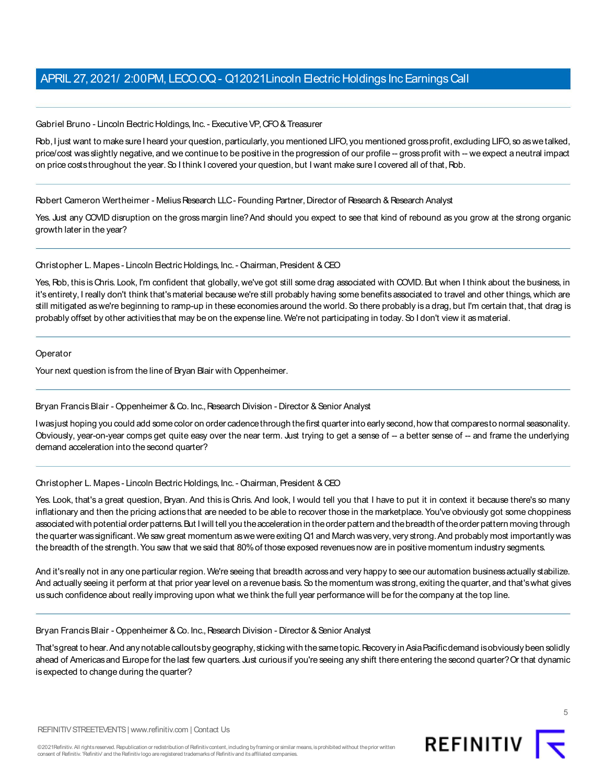Gabriel Bruno - Lincoln Electric Holdings, Inc. - Executive VP, CFO & Treasurer

Rob, I just want to make sure I heard your question, particularly, you mentioned LIFO, you mentioned gross profit, excluding LIFO, so as we talked, price/cost was slightly negative, and we continue to be positive in the progression of our profile -- gross profit with -- we expect a neutral impact on price costs throughout the year. So I think I covered your question, but I want make sure I covered all of that, Rob.

Robert Cameron Wertheimer - Melius Research LLC - Founding Partner, Director of Research & Research Analyst

Yes. Just any COVID disruption on the gross margin line? And should you expect to see that kind of rebound as you grow at the strong organic growth later in the year?

Christopher L. Mapes - Lincoln Electric Holdings, Inc. - Chairman, President & CEO

Yes, Rob, this isChris. Look, I'm confident that globally, we've got still some drag associated with COVID. But when I think about the business, in it'sentirety, I really don't think that'smaterial because we're still probably having some benefits associated to travel and other things, which are still mitigated as we're beginning to ramp-up in these economies around the world. So there probably is a drag, but I'm certain that, that drag is probably offset by other activities that may be on the expense line. We're not participating in today. So I don't view it as material.

Operator

Your next question is from the line of Bryan Blair with Oppenheimer.

#### Bryan Francis Blair - Oppenheimer & Co. Inc., Research Division - Director & Senior Analyst

Iwasjust hoping you could add somecolor on order cadencethrough thefirst quarterinto early second,how that comparesto normal seasonality. Obviously, year-on-year comps get quite easy over the near term. Just trying to get a sense of -- a better sense of -- and frame the underlying demand acceleration into the second quarter?

#### Christopher L. Mapes - Lincoln Electric Holdings, Inc. - Chairman, President & CEO

Yes. Look, that's a great question, Bryan. And this is Chris. And look, I would tell you that I have to put it in context it because there's so many inflationary and then the pricing actions that are needed to be able to recover those in the marketplace. You've obviously got some choppiness associated with potential order patterns. But I will tell you the acceleration in the order pattern and the breadth of the order pattern moving through the quarter was significant. We saw great momentum as we were exiting Q1 and March was very, very strong. And probably most importantly was the breadth of the strength. You saw that we said that 80% of those exposed revenues now are in positive momentum industry segments.

And it's really not in any one particular region. We're seeing that breadth across and very happy to see our automation business actually stabilize. And actually seeing it perform at that prior year level on a revenue basis. So the momentum was strong, exiting the quarter, and that's what gives us such confidence about really improving upon what we think the full year performance will be for the company at the top line.

Bryan Francis Blair - Oppenheimer & Co. Inc., Research Division - Director & Senior Analyst

That's great to hear. And any notable calloutsby geography, sticking with the same topic. Recovery in Asia Pacific demand is obviously been solidly ahead of Americas and Europe for the last few quarters. Just curious if you're seeing any shift there entering the second quarter? Or that dynamic is expected to change during the quarter?

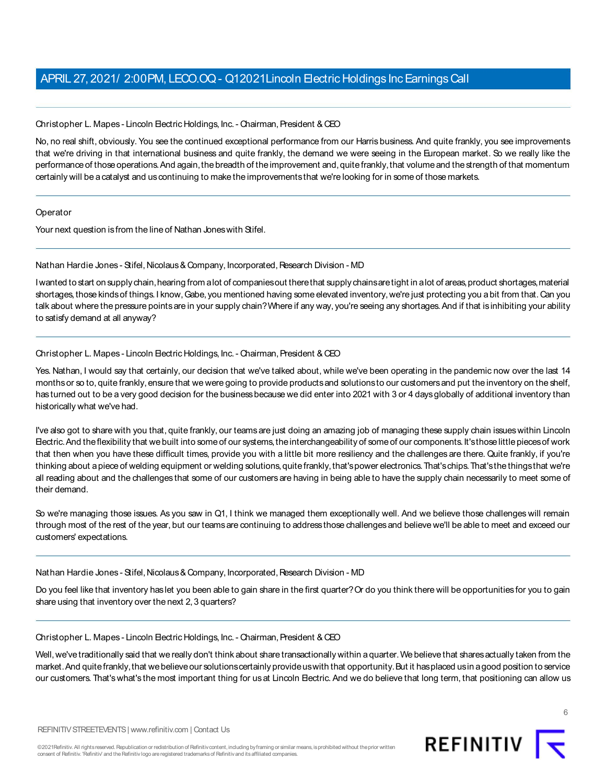#### Christopher L. Mapes - Lincoln Electric Holdings, Inc. - Chairman, President & CEO

No, no real shift, obviously. You see the continued exceptional performance from our Harris business. And quite frankly, you see improvements that we're driving in that international business and quite frankly, the demand we were seeing in the European market. So we really like the performance of those operations. And again, the breadth of the improvement and, quite frankly, that volume and the strength of that momentum certainly will be a catalyst and us continuing to make the improvements that we're looking for in some of those markets.

#### **Operator**

Your next question is from the line of Nathan Jones with Stifel.

#### Nathan Hardie Jones - Stifel, Nicolaus & Company, Incorporated, Research Division - MD

I wanted to start on supply chain, hearing from a lot of companies out there that supply chains are tight in a lot of areas, product shortages, material shortages, those kinds of things. I know, Gabe, you mentioned having some elevated inventory, we're just protecting you a bit from that. Can you talk about where the pressure points are in your supply chain? Where if any way, you're seeing any shortages. And if that is inhibiting your ability to satisfy demand at all anyway?

#### Christopher L. Mapes - Lincoln Electric Holdings, Inc. - Chairman, President & CEO

Yes. Nathan, I would say that certainly, our decision that we've talked about, while we've been operating in the pandemic now over the last 14 months or so to, quite frankly, ensure that we were going to provide products and solutions to our customers and put the inventory on the shelf, has turned out to be a very good decision for the business because we did enter into 2021 with 3 or 4 days globally of additional inventory than historically what we've had.

I've also got to share with you that, quite frankly, our teamsare just doing an amazing job of managing these supply chain issueswithin Lincoln Electric. And the flexibility that we built into some of our systems, the interchangeability of some of our components. It's those little pieces of work that then when you have these difficult times, provide you with a little bit more resiliency and the challenges are there. Quite frankly, if you're thinking about a piece of welding equipment or welding solutions, quite frankly, that's power electronics. That's chips. That's the things that we're all reading about and the challenges that some of our customers are having in being able to have the supply chain necessarily to meet some of their demand.

So we're managing those issues. As you saw in Q1, I think we managed them exceptionally well. And we believe those challenges will remain through most of the rest of the year, but our teamsare continuing to addressthose challengesand believe we'll be able to meet and exceed our customers' expectations.

Nathan Hardie Jones - Stifel, Nicolaus & Company, Incorporated, Research Division - MD

Do you feel like that inventory has let you been able to gain share in the first quarter?Or do you think there will be opportunities for you to gain share using that inventory over the next 2, 3 quarters?

#### Christopher L. Mapes - Lincoln Electric Holdings, Inc. - Chairman, President & CEO

Well, we've traditionally said that we really don't think about share transactionally within a quarter. We believe that shares actually taken from the market. And quite frankly, that we believe our solutions certainly provide us with that opportunity. But it has placed us in a good position to service our customers. That's what's the most important thing for us at Lincoln Electric. And we do believe that long term, that positioning can allow us

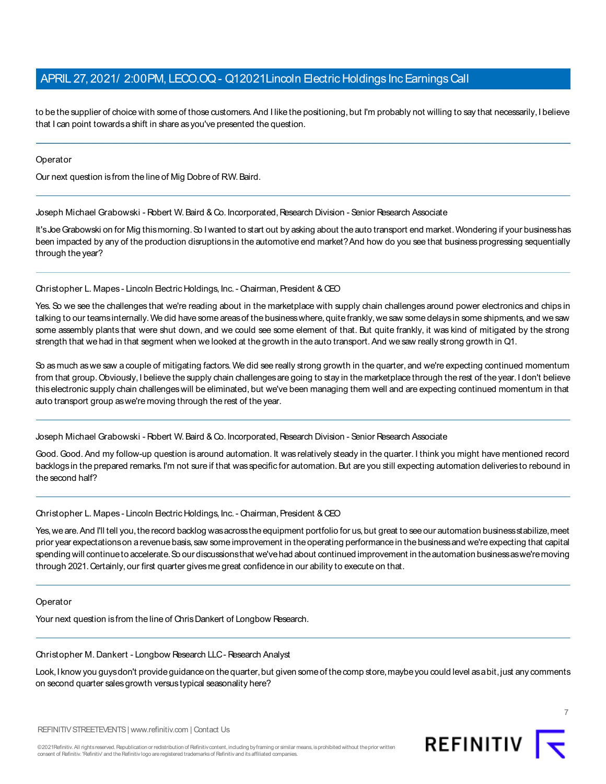to be the supplier of choice with some of those customers. And I like the positioning, but I'm probably not willing to say that necessarily, I believe that I can point towards a shift in share as you've presented the question.

**Operator** 

Our next question is from the line of Mig Dobre of RW. Baird.

Joseph Michael Grabowski - Robert W. Baird & Co. Incorporated, Research Division - Senior Research Associate

It's Joe Grabowski on for Mig thismorning. So I wanted to start out by asking about the auto transport end market. Wondering if your business has been impacted by any of the production disruptions in the automotive end market? And how do you see that business progressing sequentially through the year?

Christopher L. Mapes - Lincoln Electric Holdings, Inc. - Chairman, President & CEO

Yes. So we see the challenges that we're reading about in the marketplace with supply chain challenges around power electronics and chips in talking to our teamsinternally. We did have some areas of the business where, quite frankly, we saw some delays in some shipments, and we saw some assembly plants that were shut down, and we could see some element of that. But quite frankly, it was kind of mitigated by the strong strength that we had in that segment when we looked at the growth in the auto transport. And we saw really strong growth in Q1.

So asmuch aswe saw a couple of mitigating factors. We did see really strong growth in the quarter, and we're expecting continued momentum from that group. Obviously, I believe the supply chain challenges are going to stay in the marketplace through the rest of the year. I don't believe thiselectronic supply chain challengeswill be eliminated, but we've been managing them well and are expecting continued momentum in that auto transport group as we're moving through the rest of the year.

Joseph Michael Grabowski - Robert W. Baird & Co. Incorporated, Research Division - Senior Research Associate

Good. Good. And my follow-up question is around automation. It was relatively steady in the quarter. I think you might have mentioned record backlogs in the prepared remarks. I'm not sure if that was specific for automation. But are you still expecting automation deliveries to rebound in the second half?

Christopher L. Mapes - Lincoln Electric Holdings, Inc. - Chairman, President & CEO

Yes, we are. And I'll tell you, the record backlog was across the equipment portfolio for us, but great to see our automation business stabilize, meet prior year expectationson arevenuebasis,saw someimprovement in theoperating performancein thebusinessand we'reexpecting that capital spending will continueto accelerate.So our discussionsthat we'vehad about continued improvement in theautomation businessaswe'removing through 2021. Certainly, our first quarter gives me great confidence in our ability to execute on that.

**Operator** 

Your next question is from the line of Chris Dankert of Longbow Research.

Christopher M. Dankert - Longbow Research LLC - Research Analyst

Look, I know you guysdon't provide guidance on the quarter, but given some of the comp store, maybe you could level as a bit, just any comments on second quarter sales growth versus typical seasonality here?



REFINITIV STREETEVENTS | www.refinitiv.com | Contact Us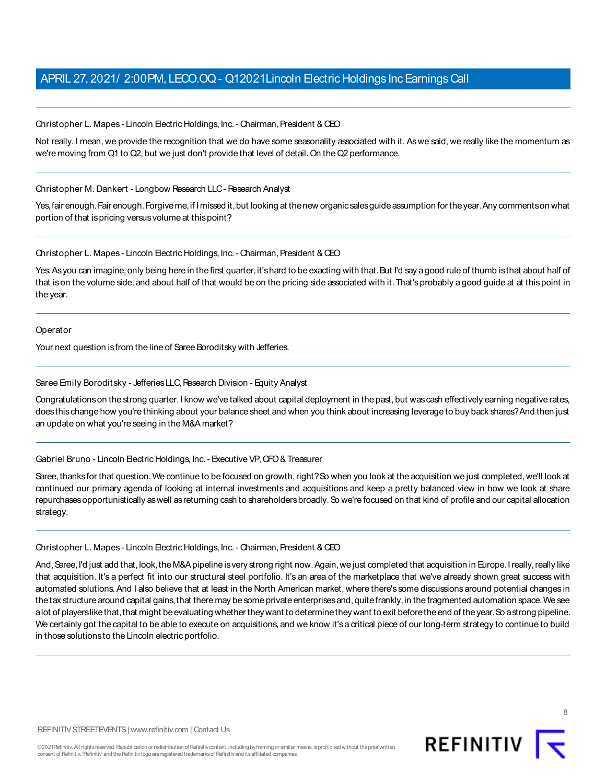Christopher L. Mapes - Lincoln Electric Holdings, Inc. - Chairman, President & CEO

Not really. I mean, we provide the recognition that we do have some seasonality associated with it. As we said, we really like the momentum as we're moving from Q1 to Q2, but we just don't provide that level of detail. On the Q2 performance.

#### Christopher M. Dankert - Longbow Research LLC - Research Analyst

Yes,fair enough.Fair enough.Forgiveme,if Imissed it,but looking at thenew organicsalesguideassumption for theyear.Any commentson what portion of that is pricing versus volume at this point?

Christopher L. Mapes - Lincoln Electric Holdings, Inc. - Chairman, President & CEO

Yes. As you can imagine, only being here in the first quarter, it's hard to be exacting with that. But I'd say a good rule of thumb is that about half of that ison the volume side, and about half of that would be on the pricing side associated with it. That'sprobably a good guide at at thispoint in the year.

Operator

Your next question is from the line of Saree Boroditsky with Jefferies.

#### Saree Emily Boroditsky - Jefferies LLC, Research Division - Equity Analyst

Congratulations on the strong quarter. I know we've talked about capital deployment in the past, but was cash effectively earning negative rates, doesthischange how you're thinking about your balance sheet and when you think about increasing leverage to buy back shares?And then just an update on what you're seeing in the M&A market?

Gabriel Bruno - Lincoln Electric Holdings, Inc. - Executive VP, CFO & Treasurer

Saree, thanks for that question. We continue to be focused on growth, right? So when you look at the acquisition we just completed, we'll look at continued our primary agenda of looking at internal investments and acquisitions and keep a pretty balanced view in how we look at share repurchases opportunistically as well as returning cash to shareholders broadly. So we're focused on that kind of profile and our capital allocation strategy.

#### Christopher L. Mapes - Lincoln Electric Holdings, Inc. - Chairman, President & CEO

And, Saree, I'd just add that, look, the M&A pipeline is very strong right now. Again, we just completed that acquisition in Europe. I really, really like that acquisition. It's a perfect fit into our structural steel portfolio. It's an area of the marketplace that we've already shown great success with automated solutions. And I also believe that at least in the North American market, where there's some discussionsaround potential changes in the tax structure around capital gains, that there may be some private enterprises and, quite frankly, in the fragmented automation space. We see alot of playerslike that, that might be evaluating whether they want to determine they want to exit before the end of the year. So a strong pipeline. We certainly got the capital to be able to execute on acquisitions, and we know it'sa critical piece of our long-term strategy to continue to build in those solutions to the Lincoln electric portfolio.

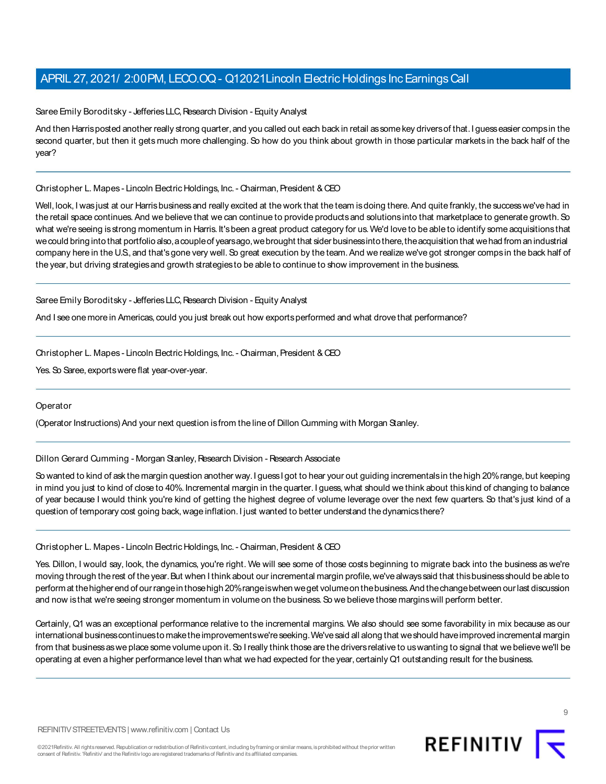Saree Emily Boroditsky - Jefferies LLC, Research Division - Equity Analyst

And then Harrisposted another really strong quarter, and you called out each back in retail as some key drivers of that. I guess easier comps in the second quarter, but then it gets much more challenging. So how do you think about growth in those particular markets in the back half of the year?

#### Christopher L. Mapes - Lincoln Electric Holdings, Inc. - Chairman, President & CEO

Well, look, I was just at our Harris business and really excited at the work that the team is doing there. And quite frankly, the success we've had in the retail space continues. And we believe that we can continue to provide products and solutions into that marketplace to generate growth. So what we're seeing is strong momentum in Harris. It's been a great product category for us. We'd love to be able to identify some acquisitions that we could bring into that portfolio also, a couple of years ago, we brought that sider businessinto there, the acquisition that we had from an industrial company here in the U.S., and that's gone very well. So great execution by the team. And we realize we've got stronger comps in the back half of the year, but driving strategies and growth strategies to be able to continue to show improvement in the business.

#### Saree Emily Boroditsky - Jefferies LLC, Research Division - Equity Analyst

And I see one more in Americas, could you just break out how exports performed and what drove that performance?

Christopher L. Mapes - Lincoln Electric Holdings, Inc. - Chairman, President & CEO

Yes. So Saree, exports were flat year-over-year.

#### **Operator**

(Operator Instructions) And your next question is from the line of Dillon Cumming with Morgan Stanley.

#### Dillon Gerard Cumming - Morgan Stanley, Research Division - Research Associate

So wanted to kind of ask the margin question another way. I guess I got to hear your out guiding incrementals in the high 20% range, but keeping in mind you just to kind of close to 40%. Incremental margin in the quarter. I guess, what should we think about thiskind of changing to balance of year because I would think you're kind of getting the highest degree of volume leverage over the next few quarters. So that's just kind of a question of temporary cost going back, wage inflation. I just wanted to better understand the dynamics there?

#### Christopher L. Mapes - Lincoln Electric Holdings, Inc. - Chairman, President & CEO

Yes. Dillon, I would say, look, the dynamics, you're right. We will see some of those costs beginning to migrate back into the business as we're moving through the rest of the year. But when I think about our incremental margin profile, we've always said that this business should be able to perform at thehigher end of ourrangein thosehigh 20%rangeiswhenweget volumeon thebusiness.And thechangebetween ourlast discussion and now is that we're seeing stronger momentum in volume on the business. So we believe those margins will perform better.

Certainly, Q1 was an exceptional performance relative to the incremental margins. We also should see some favorability in mix because as our international business continues to make the improvements we're seeking. We've said all along that we should have improved incremental margin from that businessaswe place some volume upon it.So I really think those are the driversrelative to uswanting to signal that we believe we'll be operating at even a higher performance level than what we had expected for the year, certainly Q1 outstanding result for the business.

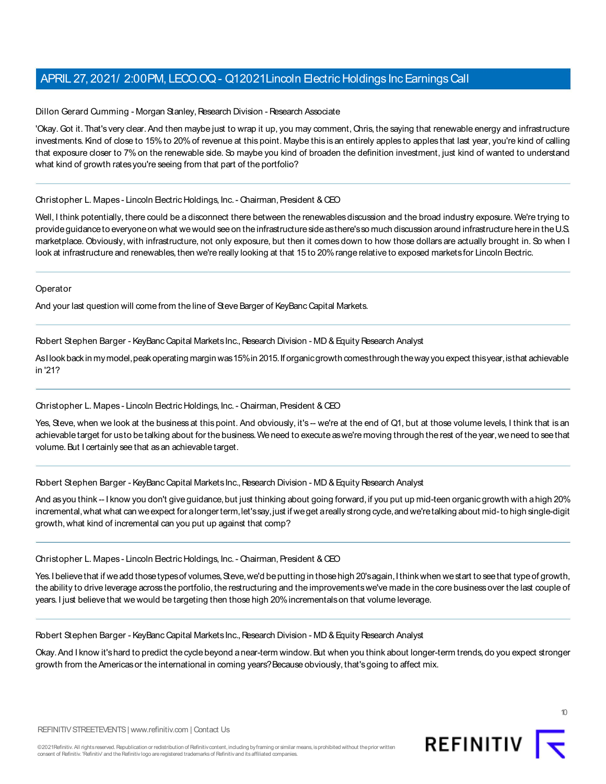Dillon Gerard Cumming - Morgan Stanley, Research Division - Research Associate

'Okay. Got it. That's very clear. And then maybe just to wrap it up, you may comment, Chris, the saying that renewable energy and infrastructure investments. Kind of close to 15% to 20% of revenue at this point. Maybe this is an entirely apples to apples that last year, you're kind of calling that exposure closer to 7% on the renewable side. So maybe you kind of broaden the definition investment, just kind of wanted to understand what kind of growth rates you're seeing from that part of the portfolio?

#### Christopher L. Mapes - Lincoln Electric Holdings, Inc. - Chairman, President & CEO

Well, I think potentially, there could be a disconnect there between the renewables discussion and the broad industry exposure. We're trying to provide guidance to everyone on what we would see on the infrastructure side as there's so much discussion around infrastructure here in the U.S. marketplace. Obviously, with infrastructure, not only exposure, but then it comes down to how those dollars are actually brought in. So when I look at infrastructure and renewables, then we're really looking at that 15 to 20% range relative to exposed markets for Lincoln Electric.

**Operator** 

And your last question will come from the line of Steve Barger of KeyBanc Capital Markets.

Robert Stephen Barger - KeyBanc Capital Markets Inc., Research Division - MD & Equity Research Analyst

AsIlook back in my model, peak operating margin was 15% in 2015. If organic growth comesthrough the way you expect thisyear, isthat achievable in '21?

#### Christopher L. Mapes - Lincoln Electric Holdings, Inc. - Chairman, President & CEO

Yes, Steve, when we look at the business at this point. And obviously, it's -- we're at the end of Q1, but at those volume levels, I think that is an achievable target for usto be talking about for the business. We need to execute as we're moving through the rest of the year, we need to see that volume. But I certainly see that as an achievable target.

#### Robert Stephen Barger - KeyBanc Capital Markets Inc., Research Division - MD & Equity Research Analyst

And as you think -- I know you don't give guidance, but just thinking about going forward, if you put up mid-teen organic growth with a high 20% incremental,what what can weexpect for alongerterm,let'ssay,just if weget areally strong cycle,and we'retalking about mid-to high single-digit growth, what kind of incremental can you put up against that comp?

#### Christopher L. Mapes - Lincoln Electric Holdings, Inc. - Chairman, President & CEO

Yes. I believe that if we add those types of volumes, Steve, we'd be putting in those high 20's again, I think when we start to see that type of growth, the ability to drive leverage acrossthe portfolio, the restructuring and the improvementswe've made in the core businessover the last couple of years. I just believe that we would be targeting then those high 20% incrementals on that volume leverage.

Robert Stephen Barger - KeyBanc Capital Markets Inc., Research Division - MD & Equity Research Analyst

Okay.And I know it'shard to predict thecycle beyond anear-term window.But when you think about longer-term trends,do you expect stronger growth from the Americas or the international in coming years? Because obviously, that's going to affect mix.



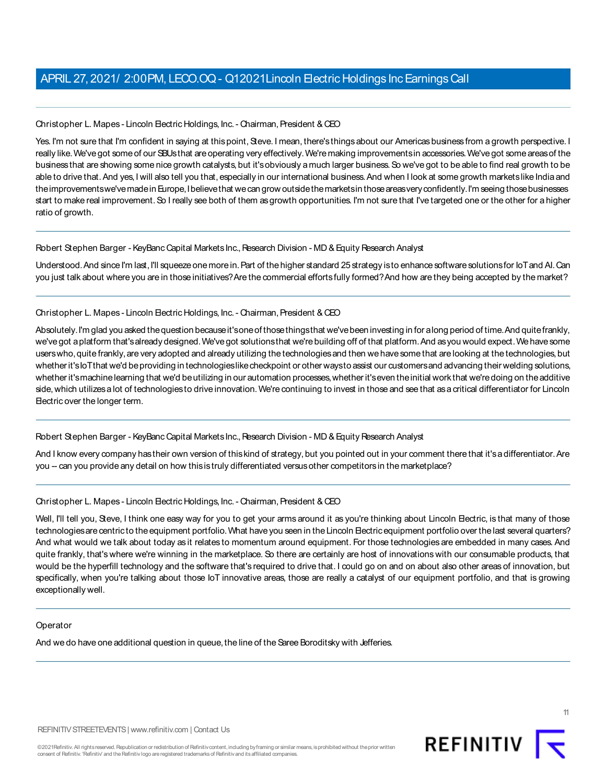Christopher L. Mapes - Lincoln Electric Holdings, Inc. - Chairman, President & CEO

Yes. I'm not sure that I'm confident in saying at this point, Steve. I mean, there's things about our Americas business from a growth perspective. I really like.We'vegot someof our SBUsthat areoperating very effectively.We'remaking improvementsin accessories.We'vegot someareasof the business that are showing some nice growth catalysts, but it's obviously a much larger business. So we've got to be able to find real growth to be able to drive that. And yes, I will also tell you that, especially in our international business. And when I look at some growth markets like India and the improvementswe've made in Europe, I believe that we can grow outside the markets in those areas very confidently. I'm seeing those businesses start to make real improvement. So I really see both of them as growth opportunities. I'm not sure that I've targeted one or the other for a higher ratio of growth.

#### Robert Stephen Barger - KeyBanc Capital Markets Inc., Research Division - MD & Equity Research Analyst

Understood. And since I'm last, I'll squeeze one more in. Part of the higher standard 25 strategy is to enhance software solutions for IoTand AI. Can you just talk about where you are in those initiatives? Are the commercial efforts fully formed? And how are they being accepted by the market?

#### Christopher L. Mapes - Lincoln Electric Holdings, Inc. - Chairman, President & CEO

Absolutely.I'm glad you asked thequestion becauseit'soneof thosethingsthat we'vebeen investing in for along period of time.And quitefrankly, we'vegot aplatform that'salready designed.We'vegot solutionsthat we'rebuilding off of that platform.And asyou would expect.Wehavesome users who, quite frankly, are very adopted and already utilizing the technologies and then we have some that are looking at the technologies, but whetherit'sIoTthat we'd beproviding in technologieslikecheckpoint or other waysto assist our customersand advancing their welding solutions, whether it's machine learning that we'd be utilizing in our automation processes, whether it's even the initial work that we're doing on the additive side, which utilizes a lot of technologies to drive innovation. We're continuing to invest in those and see that as a critical differentiator for Lincoln Electric over the longer term.

#### Robert Stephen Barger - KeyBanc Capital Markets Inc., Research Division - MD & Equity Research Analyst

And I know every company has their own version of this kind of strategy, but you pointed out in your comment there that it's a differentiator. Are you -- can you provide any detail on how this is truly differentiated versus other competitors in the marketplace?

#### Christopher L. Mapes - Lincoln Electric Holdings, Inc. - Chairman, President & CEO

Well, I'll tell you, Steve, I think one easy way for you to get your arms around it as you're thinking about Lincoln Electric, is that many of those technologies are centric to the equipment portfolio. What have you seen in the Lincoln Electric equipment portfolio over the last several quarters? And what would we talk about today as it relates to momentum around equipment. For those technologies are embedded in many cases. And quite frankly, that's where we're winning in the marketplace. So there are certainly are host of innovations with our consumable products, that would be the hyperfill technology and the software that's required to drive that. I could go on and on about also other areas of innovation, but specifically, when you're talking about those IoT innovative areas, those are really a catalyst of our equipment portfolio, and that is growing exceptionally well.

#### Operator

And we do have one additional question in queue, the line of the Saree Boroditsky with Jefferies.